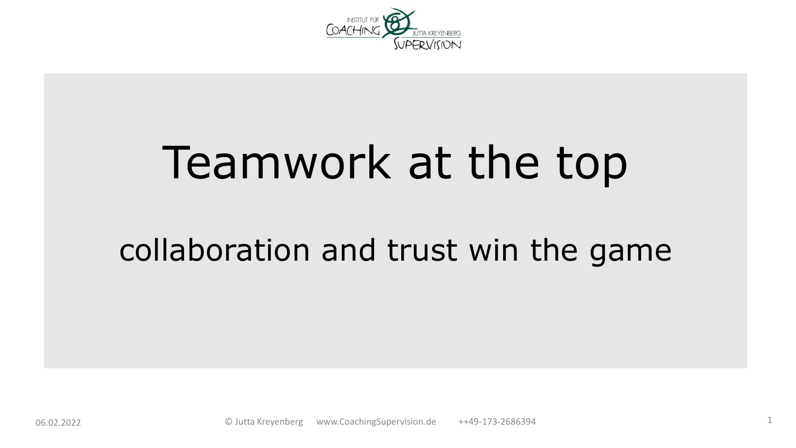

# Teamwork at the top

#### collaboration and trust win the game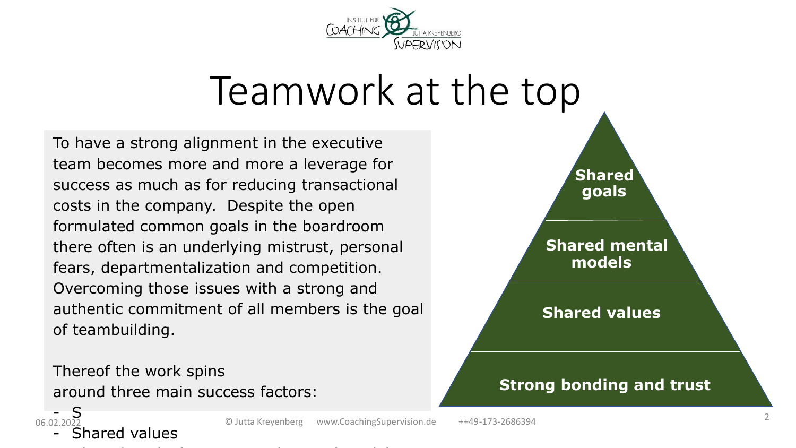

#### Teamwork at the top

To have a strong alignment in the executive team becomes more and more a leverage for success as much as for reducing transactional costs in the company. Despite the open formulated common goals in the boardroom there often is an underlying mistrust, personal fears, departmentalization and competition. Overcoming those issues with a strong and authentic commitment of all members is the goal of teambuilding.

Thereof the work spins around three main success factors:



Shared values

 $06022022$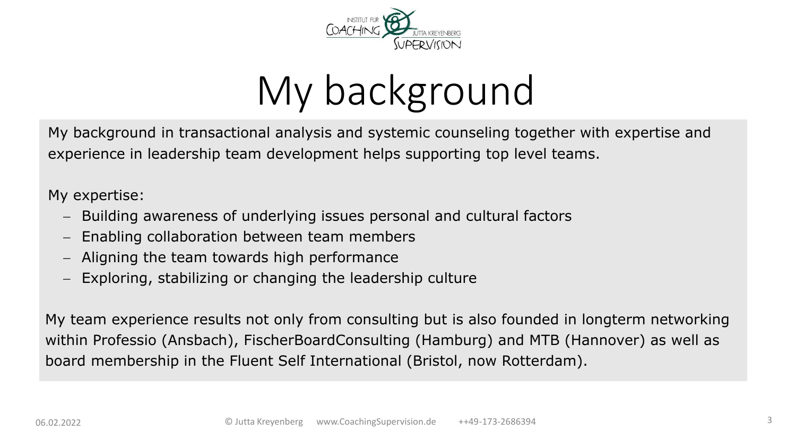

# My background

My background in transactional analysis and systemic counseling together with expertise and experience in leadership team development helps supporting top level teams.

My expertise:

- − Building awareness of underlying issues personal and cultural factors
- Enabling collaboration between team members
- − Aligning the team towards high performance
- Exploring, stabilizing or changing the leadership culture

My team experience results not only from consulting but is also founded in longterm networking within Professio (Ansbach), FischerBoardConsulting (Hamburg) and MTB (Hannover) as well as board membership in the Fluent Self International (Bristol, now Rotterdam).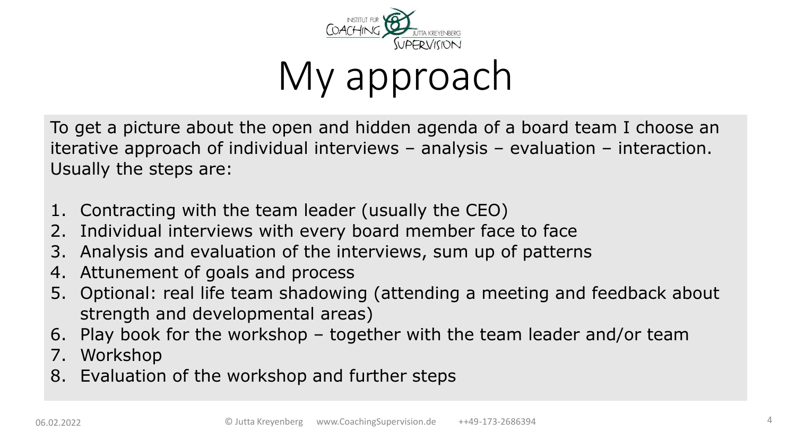

### My approach

To get a picture about the open and hidden agenda of a board team I choose an iterative approach of individual interviews – analysis – evaluation – interaction. Usually the steps are:

- 1. Contracting with the team leader (usually the CEO)
- 2. Individual interviews with every board member face to face
- 3. Analysis and evaluation of the interviews, sum up of patterns
- 4. Attunement of goals and process
- 5. Optional: real life team shadowing (attending a meeting and feedback about strength and developmental areas)
- 6. Play book for the workshop together with the team leader and/or team
- 7. Workshop
- 8. Evaluation of the workshop and further steps